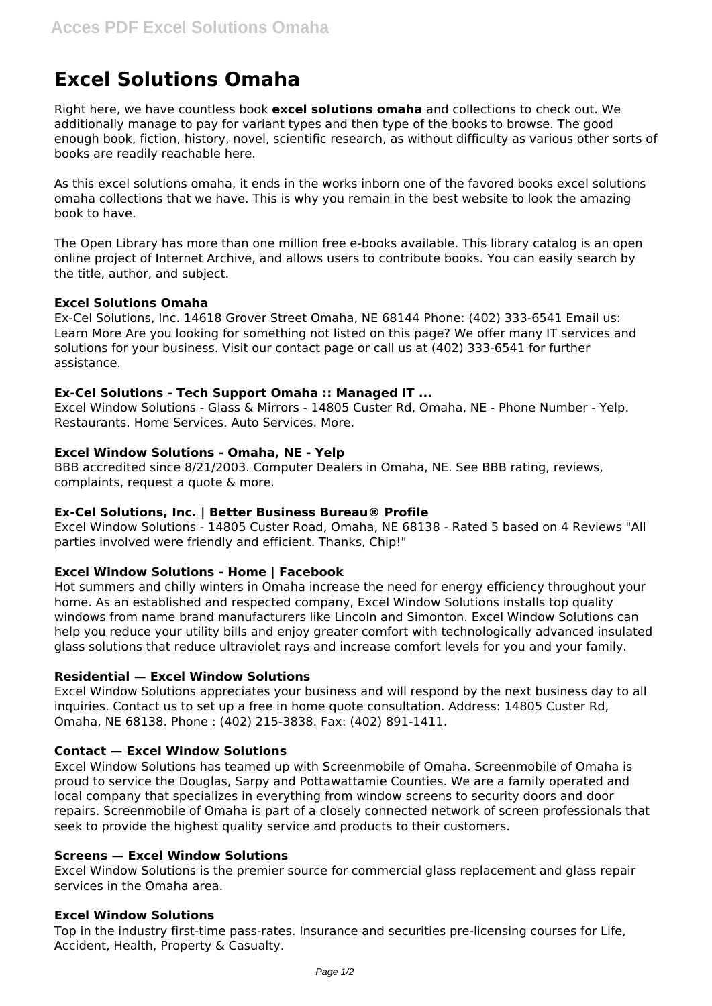# **Excel Solutions Omaha**

Right here, we have countless book **excel solutions omaha** and collections to check out. We additionally manage to pay for variant types and then type of the books to browse. The good enough book, fiction, history, novel, scientific research, as without difficulty as various other sorts of books are readily reachable here.

As this excel solutions omaha, it ends in the works inborn one of the favored books excel solutions omaha collections that we have. This is why you remain in the best website to look the amazing book to have.

The Open Library has more than one million free e-books available. This library catalog is an open online project of Internet Archive, and allows users to contribute books. You can easily search by the title, author, and subject.

## **Excel Solutions Omaha**

Ex-Cel Solutions, Inc. 14618 Grover Street Omaha, NE 68144 Phone: (402) 333-6541 Email us: Learn More Are you looking for something not listed on this page? We offer many IT services and solutions for your business. Visit our contact page or call us at (402) 333-6541 for further assistance.

## **Ex-Cel Solutions - Tech Support Omaha :: Managed IT ...**

Excel Window Solutions - Glass & Mirrors - 14805 Custer Rd, Omaha, NE - Phone Number - Yelp. Restaurants. Home Services. Auto Services. More.

## **Excel Window Solutions - Omaha, NE - Yelp**

BBB accredited since 8/21/2003. Computer Dealers in Omaha, NE. See BBB rating, reviews, complaints, request a quote & more.

#### **Ex-Cel Solutions, Inc. | Better Business Bureau® Profile**

Excel Window Solutions - 14805 Custer Road, Omaha, NE 68138 - Rated 5 based on 4 Reviews "All parties involved were friendly and efficient. Thanks, Chip!"

# **Excel Window Solutions - Home | Facebook**

Hot summers and chilly winters in Omaha increase the need for energy efficiency throughout your home. As an established and respected company, Excel Window Solutions installs top quality windows from name brand manufacturers like Lincoln and Simonton. Excel Window Solutions can help you reduce your utility bills and enjoy greater comfort with technologically advanced insulated glass solutions that reduce ultraviolet rays and increase comfort levels for you and your family.

#### **Residential — Excel Window Solutions**

Excel Window Solutions appreciates your business and will respond by the next business day to all inquiries. Contact us to set up a free in home quote consultation. Address: 14805 Custer Rd, Omaha, NE 68138. Phone : (402) 215-3838. Fax: (402) 891-1411.

#### **Contact — Excel Window Solutions**

Excel Window Solutions has teamed up with Screenmobile of Omaha. Screenmobile of Omaha is proud to service the Douglas, Sarpy and Pottawattamie Counties. We are a family operated and local company that specializes in everything from window screens to security doors and door repairs. Screenmobile of Omaha is part of a closely connected network of screen professionals that seek to provide the highest quality service and products to their customers.

# **Screens — Excel Window Solutions**

Excel Window Solutions is the premier source for commercial glass replacement and glass repair services in the Omaha area.

#### **Excel Window Solutions**

Top in the industry first-time pass-rates. Insurance and securities pre-licensing courses for Life, Accident, Health, Property & Casualty.